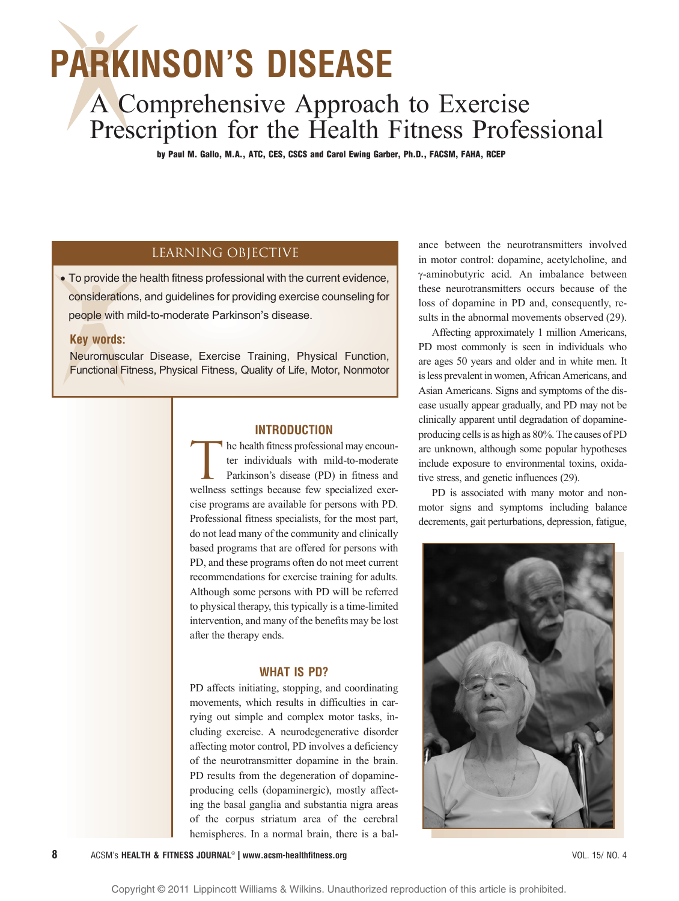# PARKINSON'S DISEASE

## A Comprehensive Approach to Exercise Prescription for the Health Fitness Professional

by Paul M. Gallo, M.A., ATC, CES, CSCS and Carol Ewing Garber, Ph.D., FACSM, FAHA, RCEP

## Learning Objective

*•* To provide the health fitness professional with the current evidence, considerations, and guidelines for providing exercise counseling for people with mild-to-moderate Parkinson's disease.

## Key words:

Neuromuscular Disease, Exercise Training, Physical Function, Functional Fitness, Physical Fitness, Quality of Life, Motor, Nonmotor

## INTRODUCTION

he health fitness professional may encounter individuals with mild-to-moderate Parkinson's disease (PD) in fitness and wellness settings because few specialized exercise programs are available for persons with PD. Professional fitness specialists, for the most part, do not lead many of the community and clinically based programs that are offered for persons with PD, and these programs often do not meet current recommendations for exercise training for adults. Although some persons with PD will be referred to physical therapy, this typically is a time-limited intervention, and many of the benefits may be lost after the therapy ends.

#### WHAT IS PD?

PD affects initiating, stopping, and coordinating movements, which results in difficulties in carrying out simple and complex motor tasks, including exercise. A neurodegenerative disorder affecting motor control, PD involves a deficiency of the neurotransmitter dopamine in the brain. PD results from the degeneration of dopamineproducing cells (dopaminergic), mostly affecting the basal ganglia and substantia nigra areas of the corpus striatum area of the cerebral hemispheres. In a normal brain, there is a bal-

ance between the neurotransmitters involved in motor control: dopamine, acetylcholine, and ,-aminobutyric acid. An imbalance between these neurotransmitters occurs because of the loss of dopamine in PD and, consequently, results in the abnormal movements observed (29).

Affecting approximately 1 million Americans, PD most commonly is seen in individuals who are ages 50 years and older and in white men. It is less prevalent in women, African Americans, and Asian Americans. Signs and symptoms of the disease usually appear gradually, and PD may not be clinically apparent until degradation of dopamineproducing cells is as high as 80%. The causes of PD are unknown, although some popular hypotheses include exposure to environmental toxins, oxidative stress, and genetic influences (29).

PD is associated with many motor and nonmotor signs and symptoms including balance decrements, gait perturbations, depression, fatigue,

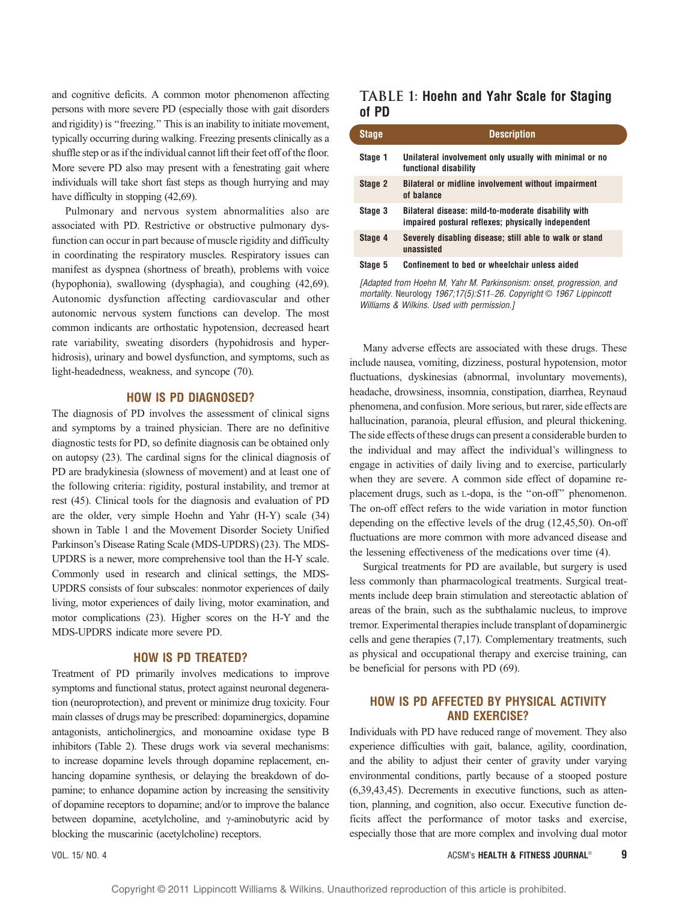and cognitive deficits. A common motor phenomenon affecting persons with more severe PD (especially those with gait disorders and rigidity) is ''freezing.'' This is an inability to initiate movement, typically occurring during walking. Freezing presents clinically as a shuffle step or as if the individual cannot lift their feet off of the floor. More severe PD also may present with a fenestrating gait where individuals will take short fast steps as though hurrying and may have difficulty in stopping  $(42,69)$ .

Pulmonary and nervous system abnormalities also are associated with PD. Restrictive or obstructive pulmonary dysfunction can occur in part because of muscle rigidity and difficulty in coordinating the respiratory muscles. Respiratory issues can manifest as dyspnea (shortness of breath), problems with voice (hypophonia), swallowing (dysphagia), and coughing (42,69). Autonomic dysfunction affecting cardiovascular and other autonomic nervous system functions can develop. The most common indicants are orthostatic hypotension, decreased heart rate variability, sweating disorders (hypohidrosis and hyperhidrosis), urinary and bowel dysfunction, and symptoms, such as light-headedness, weakness, and syncope (70).

## HOW IS PD DIAGNOSED?

The diagnosis of PD involves the assessment of clinical signs and symptoms by a trained physician. There are no definitive diagnostic tests for PD, so definite diagnosis can be obtained only on autopsy (23). The cardinal signs for the clinical diagnosis of PD are bradykinesia (slowness of movement) and at least one of the following criteria: rigidity, postural instability, and tremor at rest (45). Clinical tools for the diagnosis and evaluation of PD are the older, very simple Hoehn and Yahr (H-Y) scale (34) shown in Table 1 and the Movement Disorder Society Unified Parkinson's Disease Rating Scale (MDS-UPDRS) (23). The MDS-UPDRS is a newer, more comprehensive tool than the H-Y scale. Commonly used in research and clinical settings, the MDS-UPDRS consists of four subscales: nonmotor experiences of daily living, motor experiences of daily living, motor examination, and motor complications (23). Higher scores on the H-Y and the MDS-UPDRS indicate more severe PD.

### HOW IS PD TREATED?

Treatment of PD primarily involves medications to improve symptoms and functional status, protect against neuronal degeneration (neuroprotection), and prevent or minimize drug toxicity. Four main classes of drugs may be prescribed: dopaminergics, dopamine antagonists, anticholinergics, and monoamine oxidase type B inhibitors (Table 2). These drugs work via several mechanisms: to increase dopamine levels through dopamine replacement, enhancing dopamine synthesis, or delaying the breakdown of dopamine; to enhance dopamine action by increasing the sensitivity of dopamine receptors to dopamine; and/or to improve the balance between dopamine, acetylcholine, and  $\gamma$ -aminobutyric acid by blocking the muscarinic (acetylcholine) receptors.

## TABLE 1: Hoehn and Yahr Scale for Staging of PD

| <b>Stage</b> | <b>Description</b>                                                                                        |
|--------------|-----------------------------------------------------------------------------------------------------------|
| Stage 1      | Unilateral involvement only usually with minimal or no<br>functional disability                           |
| Stage 2      | Bilateral or midline involvement without impairment<br>of balance                                         |
| Stage 3      | Bilateral disease: mild-to-moderate disability with<br>impaired postural reflexes; physically independent |
| Stage 4      | Severely disabling disease; still able to walk or stand<br>unassisted                                     |
| Stage 5      | Confinement to bed or wheelchair unless aided                                                             |

[Adapted from Hoehn M, Yahr M, Parkinsonism: onset, progression, and mortality. Neurology 1967;17(5):S11-26. Copyright © 1967 Lippincott Williams & Wilkins. Used with permission.]

Many adverse effects are associated with these drugs. These include nausea, vomiting, dizziness, postural hypotension, motor fluctuations, dyskinesias (abnormal, involuntary movements), headache, drowsiness, insomnia, constipation, diarrhea, Reynaud phenomena, and confusion. More serious, but rarer, side effects are hallucination, paranoia, pleural effusion, and pleural thickening. The side effects of these drugs can present a considerable burden to the individual and may affect the individual's willingness to engage in activities of daily living and to exercise, particularly when they are severe. A common side effect of dopamine replacement drugs, such as L-dopa, is the ''on-off'' phenomenon. The on-off effect refers to the wide variation in motor function depending on the effective levels of the drug (12,45,50). On-off fluctuations are more common with more advanced disease and the lessening effectiveness of the medications over time (4).

Surgical treatments for PD are available, but surgery is used less commonly than pharmacological treatments. Surgical treatments include deep brain stimulation and stereotactic ablation of areas of the brain, such as the subthalamic nucleus, to improve tremor. Experimental therapies include transplant of dopaminergic cells and gene therapies (7,17). Complementary treatments, such as physical and occupational therapy and exercise training, can be beneficial for persons with PD (69).

## HOW IS PD AFFECTED BY PHYSICAL ACTIVITY AND EXERCISE?

Individuals with PD have reduced range of movement. They also experience difficulties with gait, balance, agility, coordination, and the ability to adjust their center of gravity under varying environmental conditions, partly because of a stooped posture (6,39,43,45). Decrements in executive functions, such as attention, planning, and cognition, also occur. Executive function deficits affect the performance of motor tasks and exercise, especially those that are more complex and involving dual motor

VOL. 15/ NO. 4 ACSM's HEALTH & FITNESS JOURNAL<sup>A</sup> 9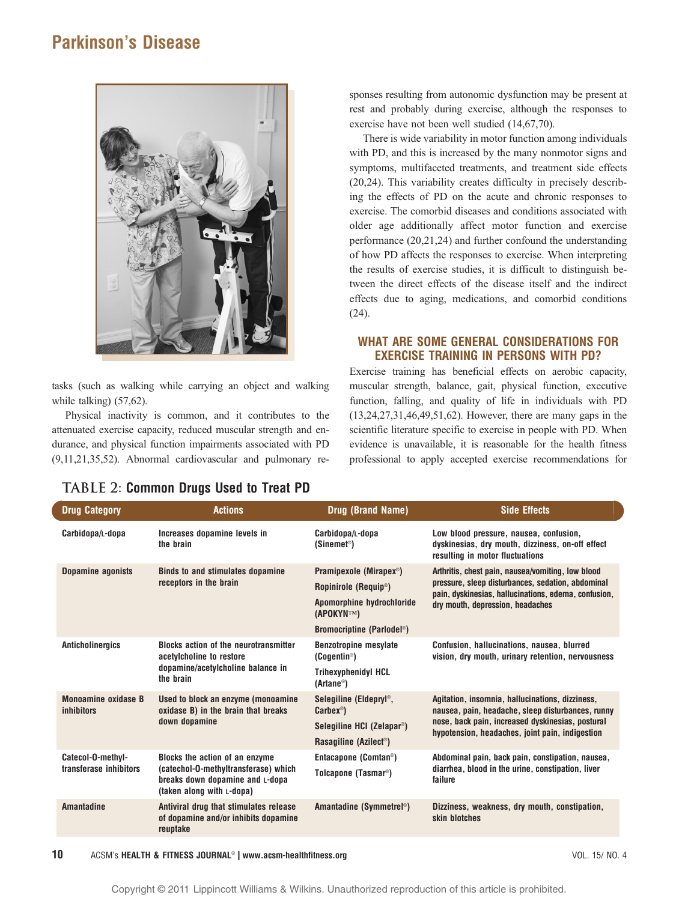

tasks (such as walking while carrying an object and walking while talking) (57,62).

Physical inactivity is common, and it contributes to the attenuated exercise capacity, reduced muscular strength and endurance, and physical function impairments associated with PD (9,11,21,35,52). Abnormal cardiovascular and pulmonary responses resulting from autonomic dysfunction may be present at rest and probably during exercise, although the responses to exercise have not been well studied (14,67,70).

There is wide variability in motor function among individuals with PD, and this is increased by the many nonmotor signs and symptoms, multifaceted treatments, and treatment side effects (20,24). This variability creates difficulty in precisely describing the effects of PD on the acute and chronic responses to exercise. The comorbid diseases and conditions associated with older age additionally affect motor function and exercise performance (20,21,24) and further confound the understanding of how PD affects the responses to exercise. When interpreting the results of exercise studies, it is difficult to distinguish between the direct effects of the disease itself and the indirect effects due to aging, medications, and comorbid conditions (24).

## WHAT ARE SOME GENERAL CONSIDERATIONS FOR EXERCISE TRAINING IN PERSONS WITH PD?

Exercise training has beneficial effects on aerobic capacity, muscular strength, balance, gait, physical function, executive function, falling, and quality of life in individuals with PD (13,24,27,31,46,49,51,62). However, there are many gaps in the scientific literature specific to exercise in people with PD. When evidence is unavailable, it is reasonable for the health fitness professional to apply accepted exercise recommendations for

| <b>Drug Category</b>                            | <b>Actions</b>                                                                                                                         | Drug (Brand Name)                                       | <b>Side Effects</b>                                                                                                           |  |
|-------------------------------------------------|----------------------------------------------------------------------------------------------------------------------------------------|---------------------------------------------------------|-------------------------------------------------------------------------------------------------------------------------------|--|
| Carbidopa/L-dopa                                | Increases dopamine levels in<br>the brain                                                                                              | Carbidopa/L-dopa<br>(Sinemet <sup>®</sup> )             | Low blood pressure, nausea, confusion,<br>dyskinesias, dry mouth, dizziness, on-off effect<br>resulting in motor fluctuations |  |
| <b>Dopamine agonists</b>                        | <b>Binds to and stimulates dopamine</b><br>receptors in the brain                                                                      | Pramipexole (Mirapex <sup>®</sup> )                     | Arthritis, chest pain, nausea/vomiting, low blood                                                                             |  |
|                                                 |                                                                                                                                        | Ropinirole (Requip <sup>®</sup> )                       | pressure, sleep disturbances, sedation, abdominal<br>pain, dyskinesias, hallucinations, edema, confusion,                     |  |
|                                                 |                                                                                                                                        | Apomorphine hydrochloride<br>(APOKYNTM)                 | dry mouth, depression, headaches                                                                                              |  |
|                                                 |                                                                                                                                        | Bromocriptine (Parlodel <sup>®</sup> )                  |                                                                                                                               |  |
| <b>Anticholinergics</b>                         | <b>Blocks action of the neurotransmitter</b><br>acetylcholine to restore<br>dopamine/acetylcholine balance in<br>the brain             | <b>Benzotropine mesylate</b><br>(Cogentin®)             | Confusion, hallucinations, nausea, blurred<br>vision, dry mouth, urinary retention, nervousness                               |  |
|                                                 |                                                                                                                                        | <b>Trihexyphenidyl HCL</b><br>$(Artane^{\circledcirc})$ |                                                                                                                               |  |
| <b>Monoamine oxidase B</b><br><i>inhibitors</i> | Used to block an enzyme (monoamine<br>oxidase B) in the brain that breaks<br>down dopamine                                             | Selegiline (Eldepryl®,<br>$Carbex^{\circledcirc}$       | Agitation, insomnia, hallucinations, dizziness,<br>nausea, pain, headache, sleep disturbances, runny                          |  |
|                                                 |                                                                                                                                        | Selegiline HCI (Zelapar <sup>®</sup> )                  | nose, back pain, increased dyskinesias, postural<br>hypotension, headaches, joint pain, indigestion                           |  |
|                                                 |                                                                                                                                        | Rasagiline (Azilect <sup>®</sup> )                      |                                                                                                                               |  |
| Catecol-O-methyl-                               | Blocks the action of an enzyme<br>(catechol-O-methyltransferase) which<br>breaks down dopamine and L-dopa<br>(taken along with L-dopa) | Entacapone (Comtan <sup>®</sup> )                       | Abdominal pain, back pain, constipation, nausea,                                                                              |  |
| transferase inhibitors                          |                                                                                                                                        | Tolcapone (Tasmar <sup>®</sup> )                        | diarrhea, blood in the urine, constipation, liver<br>failure                                                                  |  |
| <b>Amantadine</b>                               | Antiviral drug that stimulates release<br>of dopamine and/or inhibits dopamine<br>reuptake                                             | Amantadine (Symmetrel <sup>®</sup> )                    | Dizziness, weakness, dry mouth, constipation,<br>skin blotches                                                                |  |

## TABLE 2: Common Drugs Used to Treat PD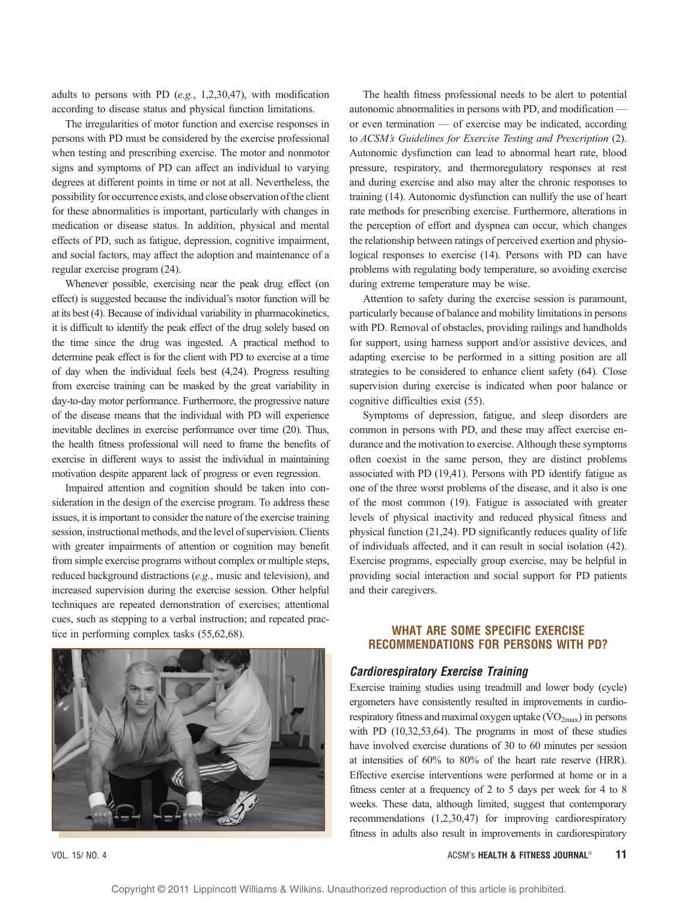adults to persons with PD (e.g., 1,2,30,47), with modification according to disease status and physical function limitations.

The irregularities of motor function and exercise responses in persons with PD must be considered by the exercise professional when testing and prescribing exercise. The motor and nonmotor signs and symptoms of PD can affect an individual to varying degrees at different points in time or not at all. Nevertheless, the possibility for occurrence exists, and close observation of the client for these abnormalities is important, particularly with changes in medication or disease status. In addition, physical and mental effects of PD, such as fatigue, depression, cognitive impairment, and social factors, may affect the adoption and maintenance of a regular exercise program (24).

Whenever possible, exercising near the peak drug effect (on effect) is suggested because the individual's motor function will be at its best (4). Because of individual variability in pharmacokinetics, it is difficult to identify the peak effect of the drug solely based on the time since the drug was ingested. A practical method to determine peak effect is for the client with PD to exercise at a time of day when the individual feels best (4,24). Progress resulting from exercise training can be masked by the great variability in day-to-day motor performance. Furthermore, the progressive nature of the disease means that the individual with PD will experience inevitable declines in exercise performance over time (20). Thus, the health fitness professional will need to frame the benefits of exercise in different ways to assist the individual in maintaining motivation despite apparent lack of progress or even regression.

Impaired attention and cognition should be taken into consideration in the design of the exercise program. To address these issues, it is important to consider the nature of the exercise training session, instructional methods, and the level of supervision. Clients with greater impairments of attention or cognition may benefit from simple exercise programs without complex or multiple steps, reduced background distractions (e.g., music and television), and increased supervision during the exercise session. Other helpful techniques are repeated demonstration of exercises; attentional cues, such as stepping to a verbal instruction; and repeated practice in performing complex tasks (55,62,68).



The health fitness professional needs to be alert to potential autonomic abnormalities in persons with PD, and modification  $$ or even termination  $-$  of exercise may be indicated, according to ACSM's Guidelines for Exercise Testing and Prescription (2). Autonomic dysfunction can lead to abnormal heart rate, blood pressure, respiratory, and thermoregulatory responses at rest and during exercise and also may alter the chronic responses to training (14). Autonomic dysfunction can nullify the use of heart rate methods for prescribing exercise. Furthermore, alterations in the perception of effort and dyspnea can occur, which changes the relationship between ratings of perceived exertion and physiological responses to exercise (14). Persons with PD can have problems with regulating body temperature, so avoiding exercise during extreme temperature may be wise.

Attention to safety during the exercise session is paramount, particularly because of balance and mobility limitations in persons with PD. Removal of obstacles, providing railings and handholds for support, using harness support and/or assistive devices, and adapting exercise to be performed in a sitting position are all strategies to be considered to enhance client safety (64). Close supervision during exercise is indicated when poor balance or cognitive difficulties exist (55).

Symptoms of depression, fatigue, and sleep disorders are common in persons with PD, and these may affect exercise endurance and the motivation to exercise. Although these symptoms often coexist in the same person, they are distinct problems associated with PD (19,41). Persons with PD identify fatigue as one of the three worst problems of the disease, and it also is one of the most common (19). Fatigue is associated with greater levels of physical inactivity and reduced physical fitness and physical function (21,24). PD significantly reduces quality of life of individuals affected, and it can result in social isolation (42). Exercise programs, especially group exercise, may be helpful in providing social interaction and social support for PD patients and their caregivers.

## WHAT ARE SOME SPECIFIC EXERCISE RECOMMENDATIONS FOR PERSONS WITH PD?

#### Cardiorespiratory Exercise Training

Exercise training studies using treadmill and lower body (cycle) ergometers have consistently resulted in improvements in cardiorespiratory fitness and maximal oxygen uptake  $(\rm VO_{2max})$  in persons with PD (10,32,53,64). The programs in most of these studies have involved exercise durations of 30 to 60 minutes per session at intensities of 60% to 80% of the heart rate reserve (HRR). Effective exercise interventions were performed at home or in a fitness center at a frequency of 2 to 5 days per week for 4 to 8 weeks. These data, although limited, suggest that contemporary recommendations (1,2,30,47) for improving cardiorespiratory fitness in adults also result in improvements in cardiorespiratory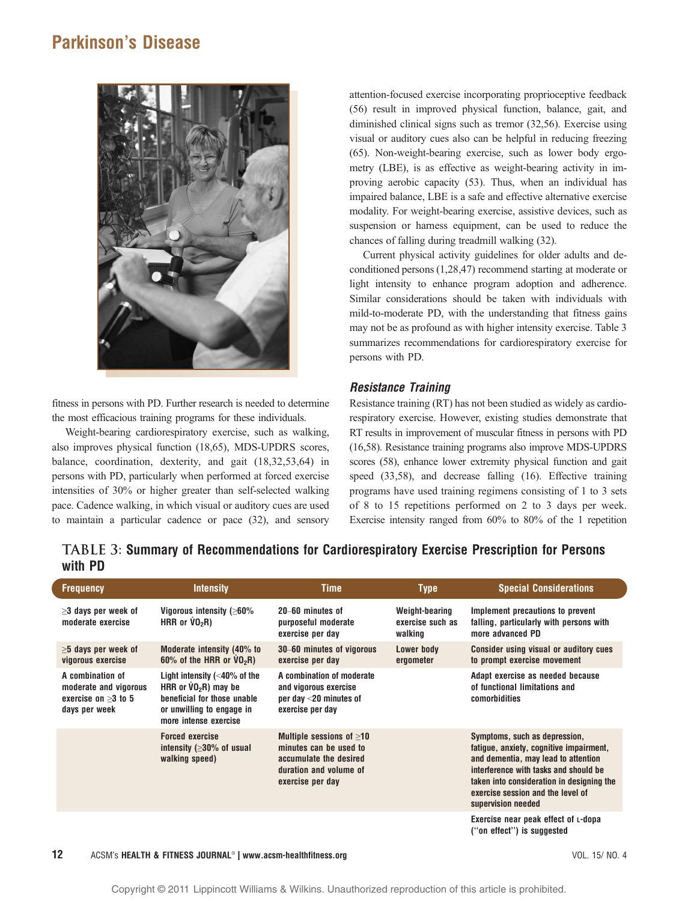

fitness in persons with PD. Further research is needed to determine the most efficacious training programs for these individuals.

Weight-bearing cardiorespiratory exercise, such as walking, also improves physical function (18,65), MDS-UPDRS scores, balance, coordination, dexterity, and gait (18,32,53,64) in persons with PD, particularly when performed at forced exercise intensities of 30% or higher greater than self-selected walking pace. Cadence walking, in which visual or auditory cues are used to maintain a particular cadence or pace (32), and sensory

attention-focused exercise incorporating proprioceptive feedback (56) result in improved physical function, balance, gait, and diminished clinical signs such as tremor (32,56). Exercise using visual or auditory cues also can be helpful in reducing freezing (65). Non-weight-bearing exercise, such as lower body ergometry (LBE), is as effective as weight-bearing activity in improving aerobic capacity (53). Thus, when an individual has impaired balance, LBE is a safe and effective alternative exercise modality. For weight-bearing exercise, assistive devices, such as suspension or harness equipment, can be used to reduce the chances of falling during treadmill walking (32).

Current physical activity guidelines for older adults and deconditioned persons (1,28,47) recommend starting at moderate or light intensity to enhance program adoption and adherence. Similar considerations should be taken with individuals with mild-to-moderate PD, with the understanding that fitness gains may not be as profound as with higher intensity exercise. Table 3 summarizes recommendations for cardiorespiratory exercise for persons with PD.

## Resistance Training

Resistance training (RT) has not been studied as widely as cardiorespiratory exercise. However, existing studies demonstrate that RT results in improvement of muscular fitness in persons with PD (16,58). Resistance training programs also improve MDS-UPDRS scores (58), enhance lower extremity physical function and gait speed (33,58), and decrease falling (16). Effective training programs have used training regimens consisting of 1 to 3 sets of 8 to 15 repetitions performed on 2 to 3 days per week. Exercise intensity ranged from 60% to 80% of the 1 repetition

## TABLE 3: Summary of Recommendations for Cardiorespiratory Exercise Prescription for Persons with PD

| <b>Frequency</b>                                                                    | <b>Intensity</b>                                                                                                                                                       | Time                                                                                                                             | <b>Type</b>                                   | <b>Special Considerations</b>                                                                                                                                                                                                                                    |
|-------------------------------------------------------------------------------------|------------------------------------------------------------------------------------------------------------------------------------------------------------------------|----------------------------------------------------------------------------------------------------------------------------------|-----------------------------------------------|------------------------------------------------------------------------------------------------------------------------------------------------------------------------------------------------------------------------------------------------------------------|
| $\geq$ 3 days per week of<br>moderate exercise                                      | Vigorous intensity ( $\geq 60\%$<br>HRR or $VO2R$ )                                                                                                                    | 20–60 minutes of<br>purposeful moderate<br>exercise per day                                                                      | Weight-bearing<br>exercise such as<br>walking | Implement precautions to prevent<br>falling, particularly with persons with<br>more advanced PD                                                                                                                                                                  |
| $\geq$ 5 days per week of<br>vigorous exercise                                      | Moderate intensity (40% to<br>$60\%$ of the HRR or $VO_2R$ )                                                                                                           | 30–60 minutes of vigorous<br>exercise per day                                                                                    | Lower body<br>ergometer                       | <b>Consider using visual or auditory cues</b><br>to prompt exercise movement                                                                                                                                                                                     |
| A combination of<br>moderate and vigorous<br>exercise on $>3$ to 5<br>days per week | Light intensity $\left( <\hspace{-1mm}40\right)$ of the<br>HRR or $VO2R$ ) may be<br>beneficial for those unable<br>or unwilling to engage in<br>more intense exercise | A combination of moderate<br>and vigorous exercise<br>per day $<$ 20 minutes of<br>exercise per day                              |                                               | Adapt exercise as needed because<br>of functional limitations and<br>comorbidities                                                                                                                                                                               |
|                                                                                     | <b>Forced exercise</b><br>intensity ( $\geq$ 30% of usual<br>walking speed)                                                                                            | Multiple sessions of $\geq 10$<br>minutes can be used to<br>accumulate the desired<br>duration and volume of<br>exercise per day |                                               | Symptoms, such as depression,<br>fatique, anxiety, cognitive impairment,<br>and dementia, may lead to attention<br>interference with tasks and should be<br>taken into consideration in designing the<br>exercise session and the level of<br>supervision needed |
|                                                                                     |                                                                                                                                                                        |                                                                                                                                  |                                               | Exercise near peak effect of L-dopa<br>("on effect") is suggested                                                                                                                                                                                                |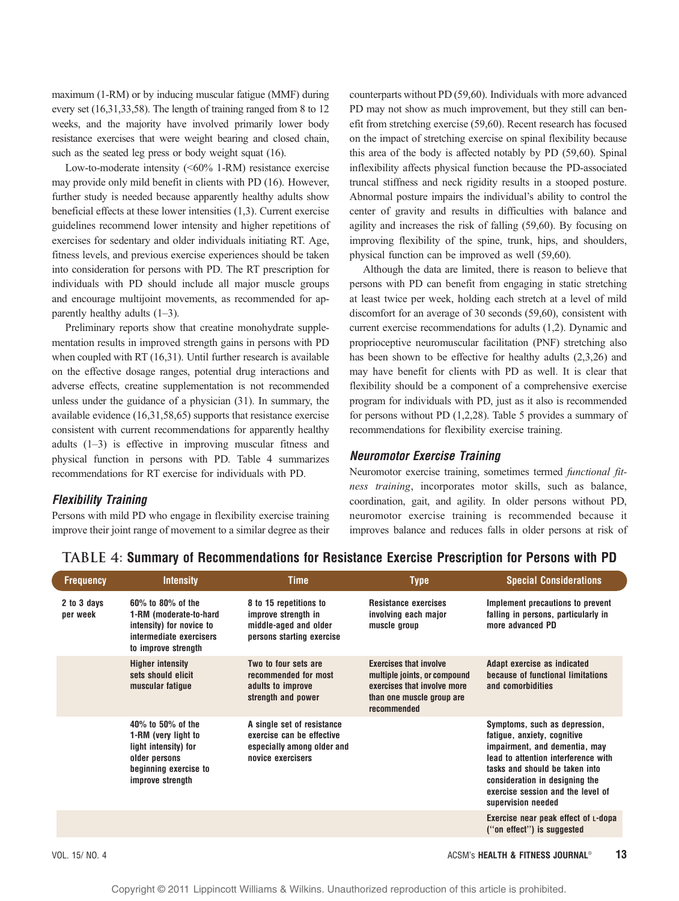maximum (1-RM) or by inducing muscular fatigue (MMF) during every set (16,31,33,58). The length of training ranged from 8 to 12 weeks, and the majority have involved primarily lower body resistance exercises that were weight bearing and closed chain, such as the seated leg press or body weight squat (16).

Low-to-moderate intensity  $( $60\%$  1-RM)$  resistance exercise may provide only mild benefit in clients with PD (16). However, further study is needed because apparently healthy adults show beneficial effects at these lower intensities (1,3). Current exercise guidelines recommend lower intensity and higher repetitions of exercises for sedentary and older individuals initiating RT. Age, fitness levels, and previous exercise experiences should be taken into consideration for persons with PD. The RT prescription for individuals with PD should include all major muscle groups and encourage multijoint movements, as recommended for apparently healthy adults  $(1-3)$ .

Preliminary reports show that creatine monohydrate supplementation results in improved strength gains in persons with PD when coupled with RT (16,31). Until further research is available on the effective dosage ranges, potential drug interactions and adverse effects, creatine supplementation is not recommended unless under the guidance of a physician (31). In summary, the available evidence (16,31,58,65) supports that resistance exercise consistent with current recommendations for apparently healthy adults  $(1-3)$  is effective in improving muscular fitness and physical function in persons with PD. Table 4 summarizes recommendations for RT exercise for individuals with PD.

## Flexibility Training

Persons with mild PD who engage in flexibility exercise training improve their joint range of movement to a similar degree as their counterparts without PD (59,60). Individuals with more advanced PD may not show as much improvement, but they still can benefit from stretching exercise (59,60). Recent research has focused on the impact of stretching exercise on spinal flexibility because this area of the body is affected notably by PD (59,60). Spinal inflexibility affects physical function because the PD-associated truncal stiffness and neck rigidity results in a stooped posture. Abnormal posture impairs the individual's ability to control the center of gravity and results in difficulties with balance and agility and increases the risk of falling (59,60). By focusing on improving flexibility of the spine, trunk, hips, and shoulders, physical function can be improved as well (59,60).

Although the data are limited, there is reason to believe that persons with PD can benefit from engaging in static stretching at least twice per week, holding each stretch at a level of mild discomfort for an average of 30 seconds (59,60), consistent with current exercise recommendations for adults (1,2). Dynamic and proprioceptive neuromuscular facilitation (PNF) stretching also has been shown to be effective for healthy adults  $(2,3,26)$  and may have benefit for clients with PD as well. It is clear that flexibility should be a component of a comprehensive exercise program for individuals with PD, just as it also is recommended for persons without PD (1,2,28). Table 5 provides a summary of recommendations for flexibility exercise training.

#### Neuromotor Exercise Training

Neuromotor exercise training, sometimes termed functional fitness training, incorporates motor skills, such as balance, coordination, gait, and agility. In older persons without PD, neuromotor exercise training is recommended because it improves balance and reduces falls in older persons at risk of

| <b>Frequency</b>        | <b>Intensity</b>                                                                                                                | <b>Time</b>                                                                                                | <b>Type</b>                                                                                                                              | <b>Special Considerations</b>                                                                                                                                                                                                                                       |
|-------------------------|---------------------------------------------------------------------------------------------------------------------------------|------------------------------------------------------------------------------------------------------------|------------------------------------------------------------------------------------------------------------------------------------------|---------------------------------------------------------------------------------------------------------------------------------------------------------------------------------------------------------------------------------------------------------------------|
| 2 to 3 days<br>per week | $60\%$ to $80\%$ of the<br>1-RM (moderate-to-hard<br>intensity) for novice to<br>intermediate exercisers<br>to improve strength | 8 to 15 repetitions to<br>improve strength in<br>middle-aged and older<br>persons starting exercise        | <b>Resistance exercises</b><br>involving each major<br>muscle group                                                                      | Implement precautions to prevent<br>falling in persons, particularly in<br>more advanced PD                                                                                                                                                                         |
|                         | <b>Higher intensity</b><br>sets should elicit<br>muscular fatigue                                                               | Two to four sets are<br>recommended for most<br>adults to improve<br>strength and power                    | <b>Exercises that involve</b><br>multiple joints, or compound<br>exercises that involve more<br>than one muscle group are<br>recommended | Adapt exercise as indicated<br>because of functional limitations<br>and comorbidities                                                                                                                                                                               |
|                         | 40% to 50% of the<br>1-RM (very light to<br>light intensity) for<br>older persons<br>beginning exercise to<br>improve strength  | A single set of resistance<br>exercise can be effective<br>especially among older and<br>novice exercisers |                                                                                                                                          | Symptoms, such as depression,<br>fatigue, anxiety, cognitive<br>impairment, and dementia, may<br>lead to attention interference with<br>tasks and should be taken into<br>consideration in designing the<br>exercise session and the level of<br>supervision needed |
|                         |                                                                                                                                 |                                                                                                            |                                                                                                                                          | Exercise near peak effect of L-dopa<br>("on effect") is suggested                                                                                                                                                                                                   |

## TABLE 4: Summary of Recommendations for Resistance Exercise Prescription for Persons with PD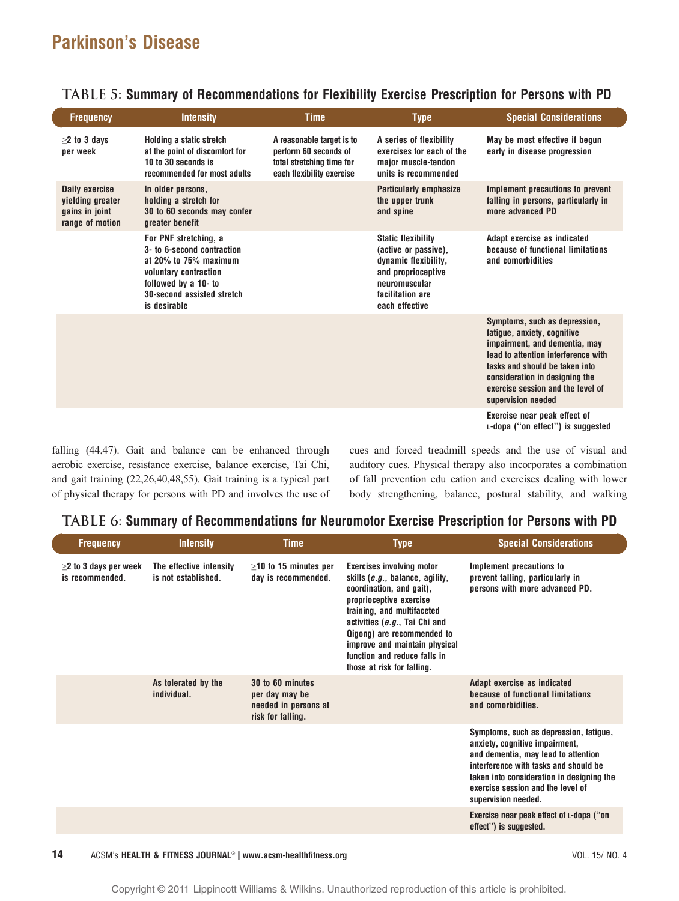$\overline{\phantom{a}}$ 

| <b>Frequency</b>                                                        | <b>Intensity</b>                                                                                                                                                            | <b>Time</b>                                                                                                  | <b>Type</b>                                                                                                                                            | <b>Special Considerations</b>                                                                                                                                                                                                                                       |
|-------------------------------------------------------------------------|-----------------------------------------------------------------------------------------------------------------------------------------------------------------------------|--------------------------------------------------------------------------------------------------------------|--------------------------------------------------------------------------------------------------------------------------------------------------------|---------------------------------------------------------------------------------------------------------------------------------------------------------------------------------------------------------------------------------------------------------------------|
| $\geq$ to 3 days<br>per week                                            | Holding a static stretch<br>at the point of discomfort for<br>10 to 30 seconds is<br>recommended for most adults                                                            | A reasonable target is to<br>perform 60 seconds of<br>total stretching time for<br>each flexibility exercise | A series of flexibility<br>exercises for each of the<br>maior muscle-tendon<br>units is recommended                                                    | May be most effective if begun<br>early in disease progression                                                                                                                                                                                                      |
| Daily exercise<br>yielding greater<br>gains in joint<br>range of motion | In older persons,<br>holding a stretch for<br>30 to 60 seconds may confer<br>greater benefit                                                                                |                                                                                                              | <b>Particularly emphasize</b><br>the upper trunk<br>and spine                                                                                          | Implement precautions to prevent<br>falling in persons, particularly in<br>more advanced PD                                                                                                                                                                         |
|                                                                         | For PNF stretching, a<br>3- to 6-second contraction<br>at 20% to 75% maximum<br>voluntary contraction<br>followed by a 10- to<br>30-second assisted stretch<br>is desirable |                                                                                                              | <b>Static flexibility</b><br>(active or passive),<br>dynamic flexibility,<br>and proprioceptive<br>neuromuscular<br>facilitation are<br>each effective | Adapt exercise as indicated<br>because of functional limitations<br>and comorbidities                                                                                                                                                                               |
|                                                                         |                                                                                                                                                                             |                                                                                                              |                                                                                                                                                        | Symptoms, such as depression,<br>fatique, anxiety, cognitive<br>impairment, and dementia, may<br>lead to attention interference with<br>tasks and should be taken into<br>consideration in designing the<br>exercise session and the level of<br>supervision needed |
|                                                                         |                                                                                                                                                                             |                                                                                                              |                                                                                                                                                        | Exercise near peak effect of<br>L-dopa ("on effect") is suggested                                                                                                                                                                                                   |

TABLE 5: Summary of Recommendations for Flexibility Exercise Prescription for Persons with PD

falling (44,47). Gait and balance can be enhanced through aerobic exercise, resistance exercise, balance exercise, Tai Chi, and gait training (22,26,40,48,55). Gait training is a typical part of physical therapy for persons with PD and involves the use of cues and forced treadmill speeds and the use of visual and auditory cues. Physical therapy also incorporates a combination of fall prevention edu cation and exercises dealing with lower body strengthening, balance, postural stability, and walking

## TABLE 6: Summary of Recommendations for Neuromotor Exercise Prescription for Persons with PD

| <b>Frequency</b>                               | <b>Intensity</b>                               | <b>Time</b>                                                                     | <b>Type</b>                                                                                                                                                                                                                                                                                                            | <b>Special Considerations</b>                                                                                                                                                                                                                                     |
|------------------------------------------------|------------------------------------------------|---------------------------------------------------------------------------------|------------------------------------------------------------------------------------------------------------------------------------------------------------------------------------------------------------------------------------------------------------------------------------------------------------------------|-------------------------------------------------------------------------------------------------------------------------------------------------------------------------------------------------------------------------------------------------------------------|
| $\geq$ 2 to 3 days per week<br>is recommended. | The effective intensity<br>is not established. | $\geq$ 10 to 15 minutes per<br>day is recommended.                              | <b>Exercises involving motor</b><br>skills (e.g., balance, agility,<br>coordination, and gait),<br>proprioceptive exercise<br>training, and multifaceted<br>activities (e.g., Tai Chi and<br>Qigong) are recommended to<br>improve and maintain physical<br>function and reduce falls in<br>those at risk for falling. | Implement precautions to<br>prevent falling, particularly in<br>persons with more advanced PD.                                                                                                                                                                    |
|                                                | As tolerated by the<br>individual.             | 30 to 60 minutes<br>per day may be<br>needed in persons at<br>risk for falling. |                                                                                                                                                                                                                                                                                                                        | Adapt exercise as indicated<br>because of functional limitations<br>and comorbidities.                                                                                                                                                                            |
|                                                |                                                |                                                                                 |                                                                                                                                                                                                                                                                                                                        | Symptoms, such as depression, fatigue,<br>anxiety, cognitive impairment,<br>and dementia, may lead to attention<br>interference with tasks and should be<br>taken into consideration in designing the<br>exercise session and the level of<br>supervision needed. |
|                                                |                                                |                                                                                 |                                                                                                                                                                                                                                                                                                                        | Exercise near peak effect of L-dopa ("on<br>effect") is suggested.                                                                                                                                                                                                |

14 ACSM's HEALTH & FITNESS JOURNAL® | www.acsm-healthfitness.org **VOL. 15/ NO. 4**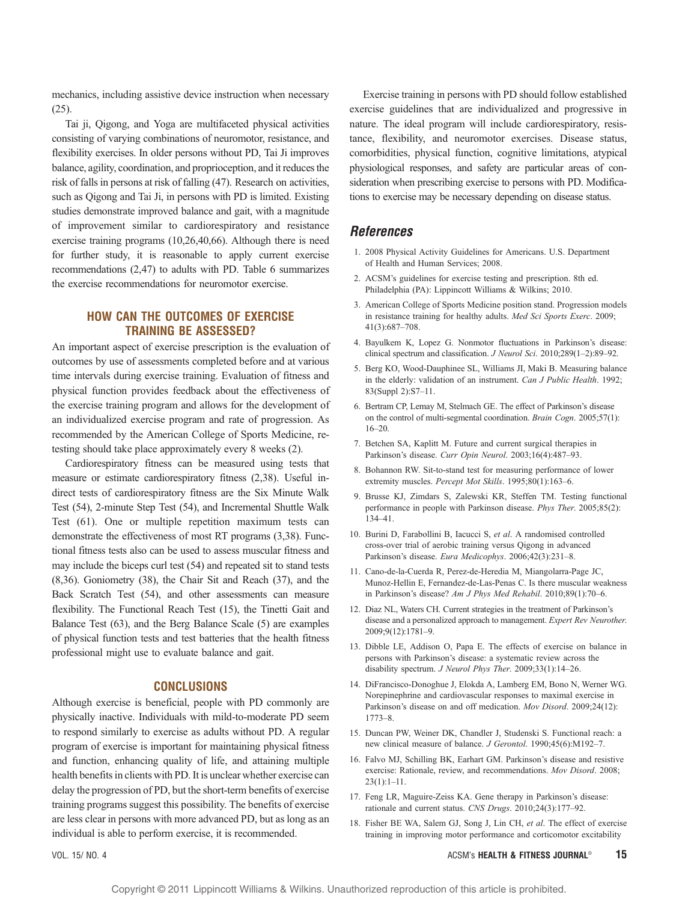mechanics, including assistive device instruction when necessary (25).

Tai ji, Qigong, and Yoga are multifaceted physical activities consisting of varying combinations of neuromotor, resistance, and flexibility exercises. In older persons without PD, Tai Ji improves balance, agility, coordination, and proprioception, and it reduces the risk of falls in persons at risk of falling (47). Research on activities, such as Qigong and Tai Ji, in persons with PD is limited. Existing studies demonstrate improved balance and gait, with a magnitude of improvement similar to cardiorespiratory and resistance exercise training programs (10,26,40,66). Although there is need for further study, it is reasonable to apply current exercise recommendations (2,47) to adults with PD. Table 6 summarizes the exercise recommendations for neuromotor exercise.

## HOW CAN THE OUTCOMES OF EXERCISE TRAINING BE ASSESSED?

An important aspect of exercise prescription is the evaluation of outcomes by use of assessments completed before and at various time intervals during exercise training. Evaluation of fitness and physical function provides feedback about the effectiveness of the exercise training program and allows for the development of an individualized exercise program and rate of progression. As recommended by the American College of Sports Medicine, retesting should take place approximately every 8 weeks (2).

Cardiorespiratory fitness can be measured using tests that measure or estimate cardiorespiratory fitness (2,38). Useful indirect tests of cardiorespiratory fitness are the Six Minute Walk Test (54), 2-minute Step Test (54), and Incremental Shuttle Walk Test (61). One or multiple repetition maximum tests can demonstrate the effectiveness of most RT programs (3,38). Functional fitness tests also can be used to assess muscular fitness and may include the biceps curl test (54) and repeated sit to stand tests (8,36). Goniometry (38), the Chair Sit and Reach (37), and the Back Scratch Test (54), and other assessments can measure flexibility. The Functional Reach Test (15), the Tinetti Gait and Balance Test (63), and the Berg Balance Scale (5) are examples of physical function tests and test batteries that the health fitness professional might use to evaluate balance and gait.

#### CONCLUSIONS

Although exercise is beneficial, people with PD commonly are physically inactive. Individuals with mild-to-moderate PD seem to respond similarly to exercise as adults without PD. A regular program of exercise is important for maintaining physical fitness and function, enhancing quality of life, and attaining multiple health benefits in clients with PD. It is unclear whether exercise can delay the progression of PD, but the short-term benefits of exercise training programs suggest this possibility. The benefits of exercise are less clear in persons with more advanced PD, but as long as an individual is able to perform exercise, it is recommended.

Exercise training in persons with PD should follow established exercise guidelines that are individualized and progressive in nature. The ideal program will include cardiorespiratory, resistance, flexibility, and neuromotor exercises. Disease status, comorbidities, physical function, cognitive limitations, atypical physiological responses, and safety are particular areas of consideration when prescribing exercise to persons with PD. Modifications to exercise may be necessary depending on disease status.

## References

- 1. 2008 Physical Activity Guidelines for Americans. U.S. Department of Health and Human Services; 2008.
- 2. ACSM's guidelines for exercise testing and prescription. 8th ed. Philadelphia (PA): Lippincott Williams & Wilkins; 2010.
- 3. American College of Sports Medicine position stand. Progression models in resistance training for healthy adults. Med Sci Sports Exerc. 2009; 41(3):687-708.
- 4. Bayulkem K, Lopez G. Nonmotor fluctuations in Parkinson's disease: clinical spectrum and classification. J Neurol Sci. 2010;289(1-2):89-92.
- 5. Berg KO, Wood-Dauphinee SL, Williams JI, Maki B. Measuring balance in the elderly: validation of an instrument. Can J Public Health. 1992; 83(Suppl 2):S7-11.
- 6. Bertram CP, Lemay M, Stelmach GE. The effect of Parkinson's disease on the control of multi-segmental coordination. Brain Cogn. 2005;57(1):  $16 - 20.$
- 7. Betchen SA, Kaplitt M. Future and current surgical therapies in Parkinson's disease. Curr Opin Neurol. 2003;16(4):487-93.
- 8. Bohannon RW. Sit-to-stand test for measuring performance of lower extremity muscles. Percept Mot Skills. 1995;80(1):163-6.
- 9. Brusse KJ, Zimdars S, Zalewski KR, Steffen TM. Testing functional performance in people with Parkinson disease. Phys Ther. 2005;85(2): 134-41.
- 10. Burini D, Farabollini B, Iacucci S, et al. A randomised controlled cross-over trial of aerobic training versus Qigong in advanced Parkinson's disease. Eura Medicophys. 2006;42(3):231-8.
- 11. Cano-de-la-Cuerda R, Perez-de-Heredia M, Miangolarra-Page JC, Munoz-Hellin E, Fernandez-de-Las-Penas C. Is there muscular weakness in Parkinson's disease? Am J Phys Med Rehabil.  $2010;89(1):70-6$ .
- 12. Diaz NL, Waters CH. Current strategies in the treatment of Parkinson's disease and a personalized approach to management. Expert Rev Neurother. 2009;9(12):1781-9.
- 13. Dibble LE, Addison O, Papa E. The effects of exercise on balance in persons with Parkinson's disease: a systematic review across the disability spectrum. J Neurol Phys Ther. 2009;33(1):14-26.
- 14. DiFrancisco-Donoghue J, Elokda A, Lamberg EM, Bono N, Werner WG. Norepinephrine and cardiovascular responses to maximal exercise in Parkinson's disease on and off medication. Mov Disord. 2009;24(12):  $1773 - 8$ .
- 15. Duncan PW, Weiner DK, Chandler J, Studenski S. Functional reach: a new clinical measure of balance. J Gerontol. 1990;45(6):M192-7.
- 16. Falvo MJ, Schilling BK, Earhart GM. Parkinson's disease and resistive exercise: Rationale, review, and recommendations. Mov Disord. 2008;  $23(1):1-11.$
- 17. Feng LR, Maguire-Zeiss KA. Gene therapy in Parkinson's disease: rationale and current status. CNS Drugs. 2010;24(3):177-92.
- 18. Fisher BE WA, Salem GJ, Song J, Lin CH, et al. The effect of exercise training in improving motor performance and corticomotor excitability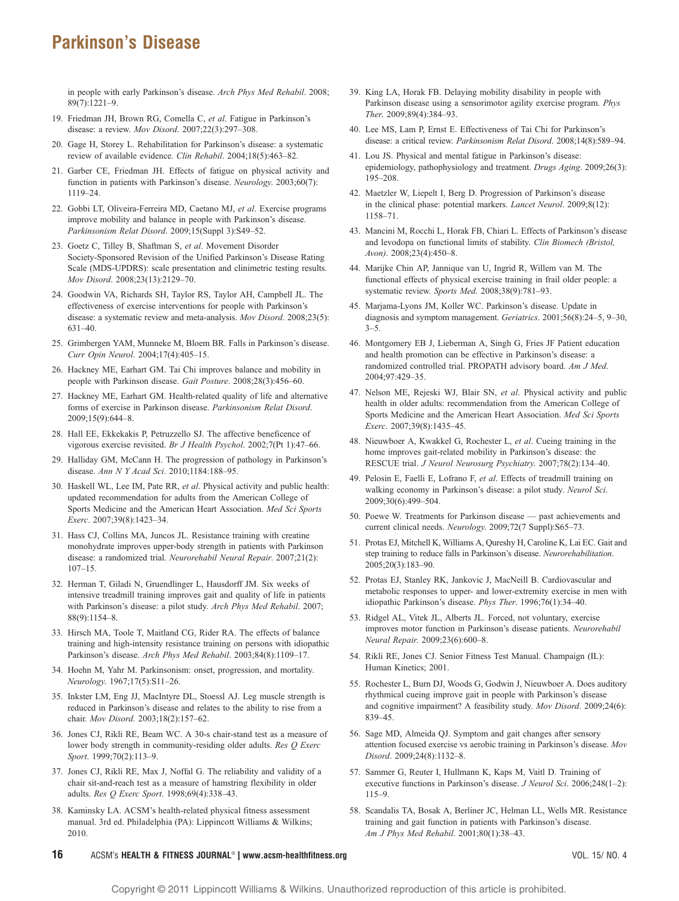in people with early Parkinson's disease. Arch Phys Med Rehabil. 2008; 89(7):1221-9.

- 19. Friedman JH, Brown RG, Comella C, et al. Fatigue in Parkinson's disease: a review. Mov Disord. 2007;22(3):297-308.
- 20. Gage H, Storey L. Rehabilitation for Parkinson's disease: a systematic review of available evidence. Clin Rehabil. 2004;18(5):463-82.
- 21. Garber CE, Friedman JH. Effects of fatigue on physical activity and function in patients with Parkinson's disease. Neurology. 2003;60(7): 1119-24.
- 22. Gobbi LT, Oliveira-Ferreira MD, Caetano MJ, et al. Exercise programs improve mobility and balance in people with Parkinson's disease. Parkinsonism Relat Disord. 2009;15(Suppl 3):S49-52.
- 23. Goetz C, Tilley B, Shaftman S, et al. Movement Disorder Society-Sponsored Revision of the Unified Parkinson's Disease Rating Scale (MDS-UPDRS): scale presentation and clinimetric testing results. Mov Disord. 2008;23(13):2129-70.
- 24. Goodwin VA, Richards SH, Taylor RS, Taylor AH, Campbell JL. The effectiveness of exercise interventions for people with Parkinson's disease: a systematic review and meta-analysis. Mov Disord. 2008;23(5):  $631 - 40.$
- 25. Grimbergen YAM, Munneke M, Bloem BR. Falls in Parkinson's disease. Curr Opin Neurol. 2004;17(4):405-15.
- 26. Hackney ME, Earhart GM. Tai Chi improves balance and mobility in people with Parkinson disease. Gait Posture. 2008;28(3):456-60.
- 27. Hackney ME, Earhart GM. Health-related quality of life and alternative forms of exercise in Parkinson disease. Parkinsonism Relat Disord. 2009:15(9):644-8.
- 28. Hall EE, Ekkekakis P, Petruzzello SJ. The affective beneficence of vigorous exercise revisited. Br J Health Psychol. 2002;7(Pt 1):47-66.
- 29. Halliday GM, McCann H. The progression of pathology in Parkinson's disease. Ann N Y Acad Sci. 2010;1184:188-95.
- 30. Haskell WL, Lee IM, Pate RR, et al. Physical activity and public health: updated recommendation for adults from the American College of Sports Medicine and the American Heart Association. Med Sci Sports Exerc. 2007;39(8):1423-34.
- 31. Hass CJ, Collins MA, Juncos JL. Resistance training with creatine monohydrate improves upper-body strength in patients with Parkinson disease: a randomized trial. Neurorehabil Neural Repair. 2007;21(2):  $107 - 15$
- 32. Herman T, Giladi N, Gruendlinger L, Hausdorff JM. Six weeks of intensive treadmill training improves gait and quality of life in patients with Parkinson's disease: a pilot study. Arch Phys Med Rehabil. 2007; 88(9):1154-8.
- 33. Hirsch MA, Toole T, Maitland CG, Rider RA. The effects of balance training and high-intensity resistance training on persons with idiopathic Parkinson's disease. Arch Phys Med Rehabil. 2003;84(8):1109-17.
- 34. Hoehn M, Yahr M. Parkinsonism: onset, progression, and mortality. Neurology. 1967;17(5):S11-26.
- 35. Inkster LM, Eng JJ, MacIntyre DL, Stoessl AJ. Leg muscle strength is reduced in Parkinson's disease and relates to the ability to rise from a chair. Mov Disord. 2003;18(2):157-62.
- 36. Jones CJ, Rikli RE, Beam WC. A 30-s chair-stand test as a measure of lower body strength in community-residing older adults. Res Q Exerc Sport. 1999;70(2):113-9.
- 37. Jones CJ, Rikli RE, Max J, Noffal G. The reliability and validity of a chair sit-and-reach test as a measure of hamstring flexibility in older adults. Res Q Exerc Sport. 1998;69(4):338-43.
- 38. Kaminsky LA. ACSM's health-related physical fitness assessment manual. 3rd ed. Philadelphia (PA): Lippincott Williams & Wilkins; 2010.
- 39. King LA, Horak FB. Delaying mobility disability in people with Parkinson disease using a sensorimotor agility exercise program. Phys Ther. 2009;89(4):384-93.
- 40. Lee MS, Lam P, Ernst E. Effectiveness of Tai Chi for Parkinson's disease: a critical review. Parkinsonism Relat Disord. 2008;14(8):589-94.
- 41. Lou JS. Physical and mental fatigue in Parkinson's disease: epidemiology, pathophysiology and treatment. Drugs Aging. 2009;26(3): 195-208
- 42. Maetzler W, Liepelt I, Berg D. Progression of Parkinson's disease in the clinical phase: potential markers. Lancet Neurol. 2009;8(12): 1158-71
- 43. Mancini M, Rocchi L, Horak FB, Chiari L. Effects of Parkinson's disease and levodopa on functional limits of stability. Clin Biomech (Bristol, Avon). 2008;23(4):450-8.
- 44. Marijke Chin AP, Jannique van U, Ingrid R, Willem van M. The functional effects of physical exercise training in frail older people: a systematic review. Sports Med. 2008;38(9):781-93.
- 45. Marjama-Lyons JM, Koller WC. Parkinson's disease. Update in diagnosis and symptom management. Geriatrics.  $2001;56(8):24-5, 9-30$ ,  $3 - 5$ .
- 46. Montgomery EB J, Lieberman A, Singh G, Fries JF Patient education and health promotion can be effective in Parkinson's disease: a randomized controlled trial. PROPATH advisory board. Am J Med. 2004;97:429-35.
- 47. Nelson ME, Rejeski WJ, Blair SN, et al. Physical activity and public health in older adults: recommendation from the American College of Sports Medicine and the American Heart Association. Med Sci Sports Exerc. 2007;39(8):1435-45.
- 48. Nieuwboer A, Kwakkel G, Rochester L, et al. Cueing training in the home improves gait-related mobility in Parkinson's disease: the RESCUE trial. J Neurol Neurosurg Psychiatry. 2007;78(2):134-40.
- 49. Pelosin E, Faelli E, Lofrano F, et al. Effects of treadmill training on walking economy in Parkinson's disease: a pilot study. Neurol Sci. 2009;30(6):499-504.
- 50. Poewe W. Treatments for Parkinson disease past achievements and current clinical needs. Neurology. 2009;72(7 Suppl):S65-73.
- 51. Protas EJ, Mitchell K, Williams A, Qureshy H, Caroline K, Lai EC. Gait and step training to reduce falls in Parkinson's disease. Neurorehabilitation. 2005;20(3):183-90.
- 52. Protas EJ, Stanley RK, Jankovic J, MacNeill B. Cardiovascular and metabolic responses to upper- and lower-extremity exercise in men with idiopathic Parkinson's disease. Phys Ther. 1996;76(1):34-40.
- 53. Ridgel AL, Vitek JL, Alberts JL. Forced, not voluntary, exercise improves motor function in Parkinson's disease patients. Neurorehabil Neural Repair. 2009;23(6):600-8.
- 54. Rikli RE, Jones CJ. Senior Fitness Test Manual. Champaign (IL): Human Kinetics; 2001.
- 55. Rochester L, Burn DJ, Woods G, Godwin J, Nieuwboer A. Does auditory rhythmical cueing improve gait in people with Parkinson's disease and cognitive impairment? A feasibility study. Mov Disord. 2009;24(6): 839-45.
- 56. Sage MD, Almeida QJ. Symptom and gait changes after sensory attention focused exercise vs aerobic training in Parkinson's disease. Mov Disord. 2009;24(8):1132-8.
- 57. Sammer G, Reuter I, Hullmann K, Kaps M, Vaitl D. Training of executive functions in Parkinson's disease. *J Neurol Sci.* 2006;248(1-2):  $115-9.$
- 58. Scandalis TA, Bosak A, Berliner JC, Helman LL, Wells MR. Resistance training and gait function in patients with Parkinson's disease. Am J Phys Med Rehabil. 2001;80(1):38-43.